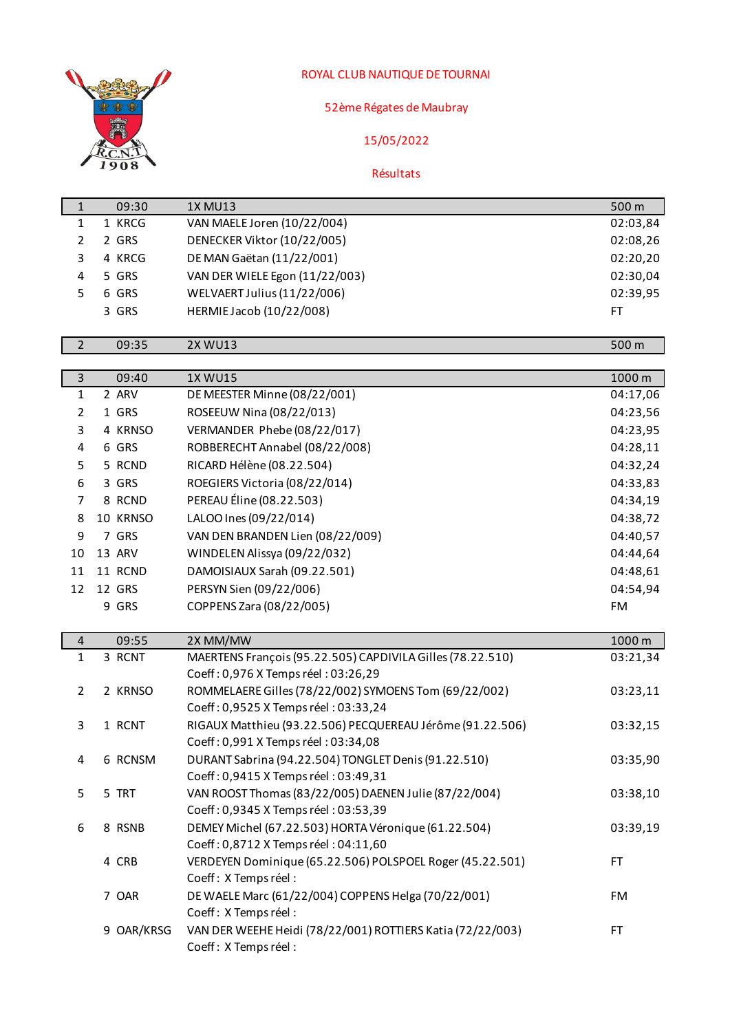

## ROYAL CLUB NAUTIQUE DE TOURNAI

## 52ème Régates de Maubray

## 15/05/2022

## Résultats

| $1\,$          | 09:30      | <b>1X MU13</b>                                                                                    | 500 m     |
|----------------|------------|---------------------------------------------------------------------------------------------------|-----------|
| $\mathbf{1}$   | 1 KRCG     | VAN MAELE Joren (10/22/004)                                                                       | 02:03,84  |
| $\overline{2}$ | 2 GRS      | DENECKER Viktor (10/22/005)                                                                       | 02:08,26  |
| 3              | 4 KRCG     | DE MAN Gaëtan (11/22/001)                                                                         | 02:20,20  |
| 4              | 5 GRS      | VAN DER WIELE Egon (11/22/003)                                                                    | 02:30,04  |
| 5              | 6 GRS      | WELVAERT Julius (11/22/006)                                                                       | 02:39,95  |
|                | 3 GRS      | HERMIE Jacob (10/22/008)                                                                          | <b>FT</b> |
|                |            |                                                                                                   |           |
| $\overline{2}$ | 09:35      | <b>2X WU13</b>                                                                                    | 500 m     |
| $\overline{3}$ | 09:40      | 1X WU15                                                                                           | 1000 m    |
| $\mathbf{1}$   | 2 ARV      | DE MEESTER Minne (08/22/001)                                                                      | 04:17,06  |
| 2              | 1 GRS      | ROSEEUW Nina (08/22/013)                                                                          | 04:23,56  |
| 3              | 4 KRNSO    | VERMANDER Phebe (08/22/017)                                                                       | 04:23,95  |
| 4              | 6 GRS      | ROBBERECHT Annabel (08/22/008)                                                                    | 04:28,11  |
| 5              | 5 RCND     | RICARD Hélène (08.22.504)                                                                         | 04:32,24  |
| 6              | 3 GRS      | ROEGIERS Victoria (08/22/014)                                                                     | 04:33,83  |
| 7              | 8 RCND     | PEREAU Éline (08.22.503)                                                                          | 04:34,19  |
| 8              | 10 KRNSO   | LALOO Ines (09/22/014)                                                                            | 04:38,72  |
| 9              | 7 GRS      | VAN DEN BRANDEN Lien (08/22/009)                                                                  | 04:40,57  |
| 10             | 13 ARV     | WINDELEN Alissya (09/22/032)                                                                      | 04:44,64  |
| 11             | 11 RCND    | DAMOISIAUX Sarah (09.22.501)                                                                      | 04:48,61  |
| 12             | 12 GRS     | PERSYN Sien (09/22/006)                                                                           | 04:54,94  |
|                | 9 GRS      | COPPENS Zara (08/22/005)                                                                          | FM        |
|                |            |                                                                                                   |           |
| $\overline{4}$ | 09:55      | 2X MM/MW                                                                                          | 1000 m    |
| $\mathbf{1}$   | 3 RCNT     | MAERTENS François (95.22.505) CAPDIVILA Gilles (78.22.510)<br>Coeff: 0,976 X Temps réel: 03:26,29 | 03:21,34  |
| $\overline{2}$ | 2 KRNSO    | ROMMELAERE Gilles (78/22/002) SYMOENS Tom (69/22/002)                                             | 03:23,11  |
|                |            | Coeff: 0,9525 X Temps réel: 03:33,24                                                              |           |
| 3              | 1 RCNT     | RIGAUX Matthieu (93.22.506) PECQUEREAU Jérôme (91.22.506)                                         | 03:32,15  |
|                |            | Coeff: 0,991 X Temps réel: 03:34,08                                                               |           |
| 4              | 6 RCNSM    | DURANT Sabrina (94.22.504) TONGLET Denis (91.22.510)                                              | 03:35,90  |
|                |            | Coeff: 0,9415 X Temps réel: 03:49,31                                                              |           |
| 5              | 5 TRT      | VAN ROOST Thomas (83/22/005) DAENEN Julie (87/22/004)                                             | 03:38,10  |
|                |            | Coeff: 0,9345 X Temps réel: 03:53,39                                                              |           |
| 6              | 8 RSNB     | DEMEY Michel (67.22.503) HORTA Véronique (61.22.504)                                              | 03:39,19  |
|                |            | Coeff: 0,8712 X Temps réel: 04:11,60                                                              |           |
|                | 4 CRB      | VERDEYEN Dominique (65.22.506) POLSPOEL Roger (45.22.501)                                         | FT.       |
|                |            | Coeff: X Temps réel:<br>DE WAELE Marc (61/22/004) COPPENS Helga (70/22/001)                       |           |
|                | 7 OAR      | Coeff: X Temps réel :                                                                             | FM        |
|                | 9 OAR/KRSG | VAN DER WEEHE Heidi (78/22/001) ROTTIERS Katia (72/22/003)                                        | <b>FT</b> |
|                |            | Coeff: X Temps réel :                                                                             |           |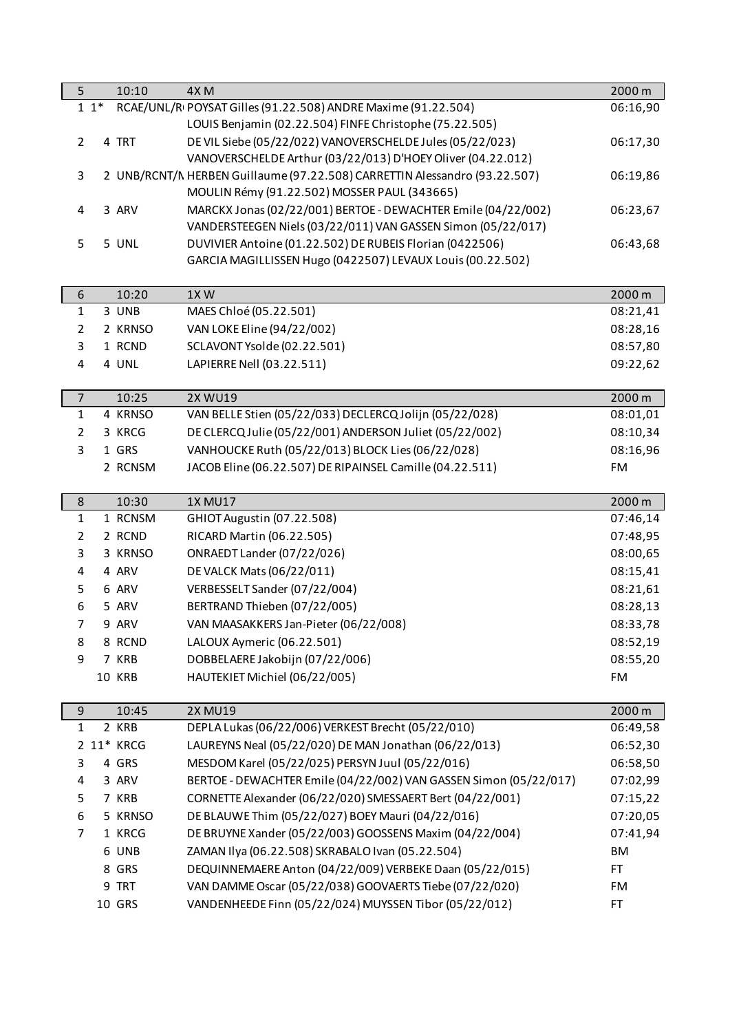| 5              |       | 10:10      | 4X <sub>M</sub>                                                            | 2000 m    |
|----------------|-------|------------|----------------------------------------------------------------------------|-----------|
|                | $11*$ |            | RCAE/UNL/RI POYSAT Gilles (91.22.508) ANDRE Maxime (91.22.504)             | 06:16,90  |
|                |       |            | LOUIS Benjamin (02.22.504) FINFE Christophe (75.22.505)                    |           |
| $\overline{2}$ |       | 4 TRT      | DE VIL Siebe (05/22/022) VANOVERSCHELDE Jules (05/22/023)                  | 06:17,30  |
|                |       |            | VANOVERSCHELDE Arthur (03/22/013) D'HOEY Oliver (04.22.012)                |           |
| 3              |       |            | 2 UNB/RCNT/N HERBEN Guillaume (97.22.508) CARRETTIN Alessandro (93.22.507) | 06:19,86  |
|                |       |            | MOULIN Rémy (91.22.502) MOSSER PAUL (343665)                               |           |
| 4              |       | 3 ARV      | MARCKX Jonas (02/22/001) BERTOE - DEWACHTER Emile (04/22/002)              | 06:23,67  |
|                |       |            | VANDERSTEEGEN Niels (03/22/011) VAN GASSEN Simon (05/22/017)               |           |
| 5              |       | 5 UNL      | DUVIVIER Antoine (01.22.502) DE RUBEIS Florian (0422506)                   | 06:43,68  |
|                |       |            | GARCIA MAGILLISSEN Hugo (0422507) LEVAUX Louis (00.22.502)                 |           |
|                |       |            |                                                                            |           |
| 6              |       | 10:20      | 1XW                                                                        | 2000 m    |
| 1              |       | 3 UNB      | MAES Chloé (05.22.501)                                                     | 08:21,41  |
| $\overline{2}$ |       | 2 KRNSO    | VAN LOKE Eline (94/22/002)                                                 | 08:28,16  |
| 3              |       | 1 RCND     | SCLAVONT Ysolde (02.22.501)                                                | 08:57,80  |
| 4              |       | 4 UNL      | LAPIERRE Nell (03.22.511)                                                  | 09:22,62  |
|                |       |            |                                                                            |           |
| $\overline{7}$ |       | 10:25      | <b>2X WU19</b>                                                             | 2000 m    |
| $\mathbf{1}$   |       | 4 KRNSO    | VAN BELLE Stien (05/22/033) DECLERCQ Jolijn (05/22/028)                    | 08:01,01  |
| $\overline{2}$ |       | 3 KRCG     | DE CLERCQ Julie (05/22/001) ANDERSON Juliet (05/22/002)                    | 08:10,34  |
| 3              |       | 1 GRS      | VANHOUCKE Ruth (05/22/013) BLOCK Lies (06/22/028)                          | 08:16,96  |
|                |       | 2 RCNSM    | JACOB Eline (06.22.507) DE RIPAINSEL Camille (04.22.511)                   | <b>FM</b> |
|                |       |            |                                                                            |           |
| 8              |       | 10:30      | <b>1X MU17</b>                                                             | 2000 m    |
| $\mathbf{1}$   |       | 1 RCNSM    | GHIOT Augustin (07.22.508)                                                 | 07:46,14  |
| $\overline{2}$ |       | 2 RCND     | RICARD Martin (06.22.505)                                                  | 07:48,95  |
| 3              |       | 3 KRNSO    | ONRAEDT Lander (07/22/026)                                                 | 08:00,65  |
| 4              |       | 4 ARV      | DE VALCK Mats (06/22/011)                                                  | 08:15,41  |
| 5              |       | 6 ARV      | VERBESSELT Sander (07/22/004)                                              | 08:21,61  |
| 6              |       | 5 ARV      | BERTRAND Thieben (07/22/005)                                               | 08:28,13  |
| 7              |       | 9 ARV      | VAN MAASAKKERS Jan-Pieter (06/22/008)                                      | 08:33,78  |
| 8              |       | 8 RCND     | LALOUX Aymeric (06.22.501)                                                 | 08:52,19  |
| 9              |       | 7 KRB      | DOBBELAERE Jakobijn (07/22/006)                                            | 08:55,20  |
|                |       | 10 KRB     | HAUTEKIET Michiel (06/22/005)                                              | <b>FM</b> |
|                |       |            |                                                                            |           |
| 9              |       | 10:45      | <b>2X MU19</b>                                                             | 2000 m    |
| $\mathbf{1}$   |       | 2 KRB      | DEPLA Lukas (06/22/006) VERKEST Brecht (05/22/010)                         | 06:49,58  |
|                |       | 2 11* KRCG | LAUREYNS Neal (05/22/020) DE MAN Jonathan (06/22/013)                      | 06:52,30  |
| 3              |       | 4 GRS      | MESDOM Karel (05/22/025) PERSYN Juul (05/22/016)                           | 06:58,50  |
| 4              |       | 3 ARV      | BERTOE - DEWACHTER Emile (04/22/002) VAN GASSEN Simon (05/22/017)          | 07:02,99  |
| 5              |       | 7 KRB      | CORNETTE Alexander (06/22/020) SMESSAERT Bert (04/22/001)                  | 07:15,22  |
| 6              |       | 5 KRNSO    | DE BLAUWE Thim (05/22/027) BOEY Mauri (04/22/016)                          | 07:20,05  |
| 7              |       | 1 KRCG     | DE BRUYNE Xander (05/22/003) GOOSSENS Maxim (04/22/004)                    | 07:41,94  |
|                |       | 6 UNB      | ZAMAN Ilya (06.22.508) SKRABALO Ivan (05.22.504)                           | BM        |
|                |       | 8 GRS      |                                                                            | FT.       |
|                |       |            | DEQUINNEMAERE Anton (04/22/009) VERBEKE Daan (05/22/015)                   |           |
|                |       | 9 TRT      | VAN DAMME Oscar (05/22/038) GOOVAERTS Tiebe (07/22/020)                    | FM        |
|                |       | 10 GRS     | VANDENHEEDE Finn (05/22/024) MUYSSEN Tibor (05/22/012)                     | <b>FT</b> |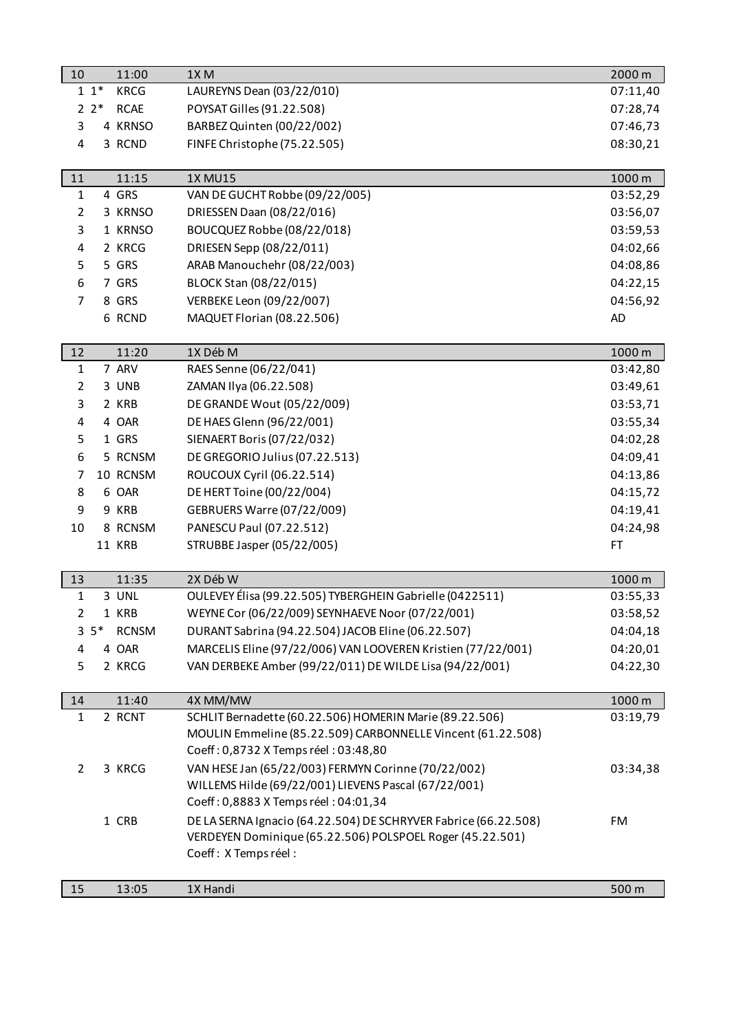| 10             |         | 11:00        | 1X <sub>M</sub>                                                 | 2000 m    |
|----------------|---------|--------------|-----------------------------------------------------------------|-----------|
|                | $11*$   | <b>KRCG</b>  | LAUREYNS Dean (03/22/010)                                       | 07:11,40  |
|                | $2^*$   | <b>RCAE</b>  | POYSAT Gilles (91.22.508)                                       | 07:28,74  |
| 3              |         | 4 KRNSO      | BARBEZ Quinten (00/22/002)                                      | 07:46,73  |
| 4              |         | 3 RCND       | FINFE Christophe (75.22.505)                                    | 08:30,21  |
|                |         |              |                                                                 |           |
| 11             |         | 11:15        | <b>1X MU15</b>                                                  | 1000 m    |
| $\mathbf 1$    |         | 4 GRS        | VAN DE GUCHT Robbe (09/22/005)                                  | 03:52,29  |
| $\overline{2}$ |         | 3 KRNSO      | DRIESSEN Daan (08/22/016)                                       | 03:56,07  |
| 3              |         | 1 KRNSO      | BOUCQUEZ Robbe (08/22/018)                                      | 03:59,53  |
| 4              |         | 2 KRCG       | DRIESEN Sepp (08/22/011)                                        | 04:02,66  |
| 5              |         | 5 GRS        | ARAB Manouchehr (08/22/003)                                     | 04:08,86  |
| 6              |         | 7 GRS        | BLOCK Stan (08/22/015)                                          | 04:22,15  |
| $\overline{7}$ |         | 8 GRS        | VERBEKE Leon (09/22/007)                                        | 04:56,92  |
|                |         | 6 RCND       | MAQUET Florian (08.22.506)                                      | AD        |
|                |         |              |                                                                 |           |
| 12             |         | 11:20        | 1X Déb M                                                        | 1000 m    |
| $\mathbf 1$    |         | 7 ARV        | RAES Senne (06/22/041)                                          | 03:42,80  |
| $\overline{2}$ |         | 3 UNB        | ZAMAN Ilya (06.22.508)                                          | 03:49,61  |
| 3              |         | 2 KRB        | DE GRANDE Wout (05/22/009)                                      | 03:53,71  |
| 4              |         | 4 OAR        | DE HAES Glenn (96/22/001)                                       | 03:55,34  |
| 5              |         | 1 GRS        | SIENAERT Boris (07/22/032)                                      | 04:02,28  |
| 6              |         | 5 RCNSM      | DE GREGORIO Julius (07.22.513)                                  | 04:09,41  |
| $\overline{7}$ |         | 10 RCNSM     | ROUCOUX Cyril (06.22.514)                                       | 04:13,86  |
| 8              |         | 6 OAR        | DE HERT Toine (00/22/004)                                       | 04:15,72  |
| 9              |         | 9 KRB        | GEBRUERS Warre (07/22/009)                                      | 04:19,41  |
| 10             |         | 8 RCNSM      | PANESCU Paul (07.22.512)                                        | 04:24,98  |
|                |         | 11 KRB       | STRUBBE Jasper (05/22/005)                                      | <b>FT</b> |
|                |         |              |                                                                 |           |
| 13             |         | 11:35        | 2X Déb W                                                        | 1000 m    |
| $\mathbf 1$    |         | 3 UNL        | OULEVEY Élisa (99.22.505) TYBERGHEIN Gabrielle (0422511)        | 03:55,33  |
| $\mathcal{L}$  |         | 1 KRB        | WEYNE Cor (06/22/009) SEYNHAEVE Noor (07/22/001)                | 03:58,52  |
|                | $3\;5*$ | <b>RCNSM</b> | DURANT Sabrina (94.22.504) JACOB Eline (06.22.507)              | 04:04,18  |
| 4              |         | 4 OAR        | MARCELIS Eline (97/22/006) VAN LOOVEREN Kristien (77/22/001)    | 04:20,01  |
| 5              |         | 2 KRCG       | VAN DERBEKE Amber (99/22/011) DE WILDE Lisa (94/22/001)         | 04:22,30  |
|                |         |              |                                                                 |           |
| 14             |         | 11:40        | 4X MM/MW                                                        | 1000 m    |
| $\mathbf{1}$   |         | 2 RCNT       | SCHLIT Bernadette (60.22.506) HOMERIN Marie (89.22.506)         | 03:19,79  |
|                |         |              | MOULIN Emmeline (85.22.509) CARBONNELLE Vincent (61.22.508)     |           |
|                |         |              | Coeff: 0,8732 X Temps réel: 03:48,80                            |           |
| $\overline{2}$ |         | 3 KRCG       | VAN HESE Jan (65/22/003) FERMYN Corinne (70/22/002)             | 03:34,38  |
|                |         |              | WILLEMS Hilde (69/22/001) LIEVENS Pascal (67/22/001)            |           |
|                |         |              | Coeff: 0,8883 X Temps réel: 04:01,34                            |           |
|                |         | 1 CRB        | DE LA SERNA Ignacio (64.22.504) DE SCHRYVER Fabrice (66.22.508) | FM        |
|                |         |              | VERDEYEN Dominique (65.22.506) POLSPOEL Roger (45.22.501)       |           |
|                |         |              | Coeff: X Temps réel:                                            |           |
|                |         |              |                                                                 |           |
| 15             |         | 13:05        | 1X Handi                                                        | 500 m     |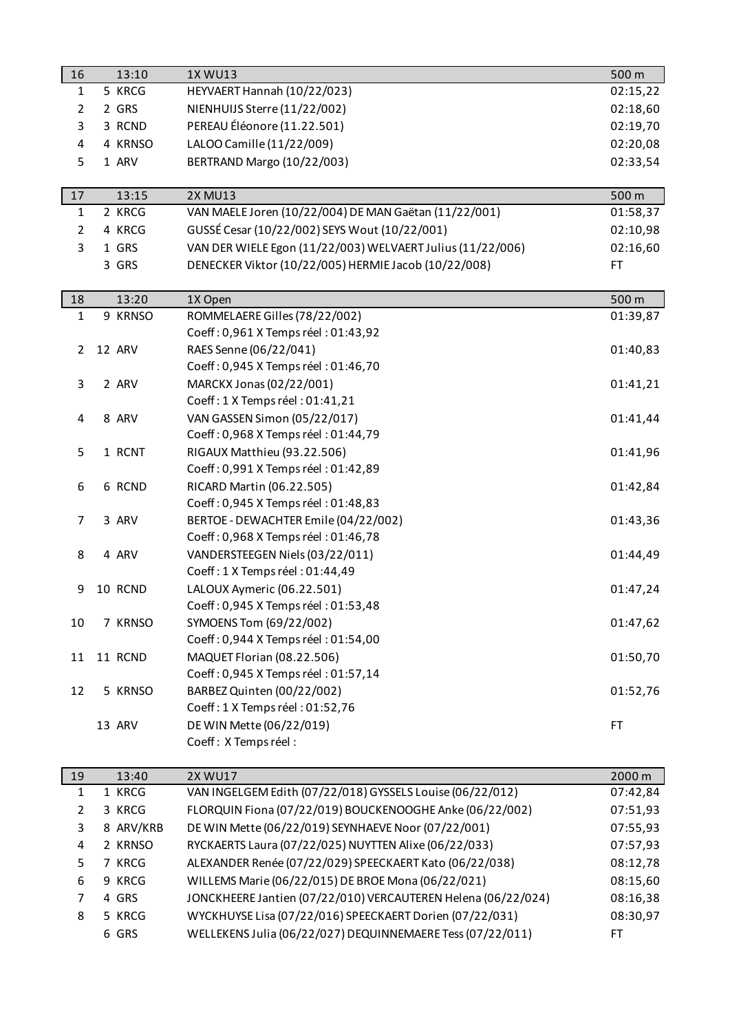| 16                      | 13:10     | 1X WU13                                                            | 500 m     |
|-------------------------|-----------|--------------------------------------------------------------------|-----------|
| $\mathbf{1}$            | 5 KRCG    | HEYVAERT Hannah (10/22/023)                                        | 02:15,22  |
| $\overline{2}$          | 2 GRS     | NIENHUIJS Sterre (11/22/002)                                       | 02:18,60  |
| 3                       | 3 RCND    | PEREAU Éléonore (11.22.501)                                        | 02:19,70  |
| 4                       | 4 KRNSO   | LALOO Camille (11/22/009)                                          | 02:20,08  |
| 5                       | 1 ARV     | BERTRAND Margo (10/22/003)                                         | 02:33,54  |
|                         |           |                                                                    |           |
| 17                      | 13:15     | <b>2X MU13</b>                                                     | 500 m     |
| $\mathbf{1}$            | 2 KRCG    | VAN MAELE Joren (10/22/004) DE MAN Gaëtan (11/22/001)              | 01:58,37  |
| $\overline{2}$          | 4 KRCG    | GUSSÉ Cesar (10/22/002) SEYS Wout (10/22/001)                      | 02:10,98  |
| 3                       | 1 GRS     | VAN DER WIELE Egon (11/22/003) WELVAERT Julius (11/22/006)         | 02:16,60  |
|                         | 3 GRS     | DENECKER Viktor (10/22/005) HERMIE Jacob (10/22/008)               | FT.       |
|                         |           |                                                                    |           |
| 18                      | 13:20     | 1X Open                                                            | 500 m     |
| $\mathbf{1}$            | 9 KRNSO   | ROMMELAERE Gilles (78/22/002)                                      | 01:39,87  |
|                         |           | Coeff: 0,961 X Temps réel: 01:43,92                                |           |
| $\overline{2}$          | 12 ARV    | RAES Senne (06/22/041)                                             | 01:40,83  |
|                         |           | Coeff: 0,945 X Temps réel: 01:46,70                                |           |
| 3                       | 2 ARV     | MARCKX Jonas (02/22/001)                                           | 01:41,21  |
|                         |           | Coeff: 1 X Temps réel: 01:41,21                                    |           |
| $\overline{\mathbf{r}}$ | 8 ARV     | VAN GASSEN Simon (05/22/017)                                       | 01:41,44  |
|                         |           | Coeff: 0,968 X Temps réel: 01:44,79                                |           |
| 5                       | 1 RCNT    | RIGAUX Matthieu (93.22.506)                                        | 01:41,96  |
|                         |           | Coeff: 0,991 X Temps réel: 01:42,89                                |           |
| 6                       | 6 RCND    | RICARD Martin (06.22.505)                                          | 01:42,84  |
|                         |           | Coeff: 0,945 X Temps réel: 01:48,83                                |           |
| 7                       | 3 ARV     | BERTOE - DEWACHTER Emile (04/22/002)                               | 01:43,36  |
|                         |           | Coeff: 0,968 X Temps réel: 01:46,78                                |           |
| 8                       | 4 ARV     | VANDERSTEEGEN Niels (03/22/011)<br>Coeff: 1 X Temps réel: 01:44,49 | 01:44,49  |
|                         | 10 RCND   | LALOUX Aymeric (06.22.501)                                         |           |
| 9                       |           | Coeff: 0,945 X Temps réel: 01:53,48                                | 01:47,24  |
| 10                      | 7 KRNSO   | SYMOENS Tom (69/22/002)                                            | 01:47,62  |
|                         |           | Coeff: 0,944 X Temps réel: 01:54,00                                |           |
| 11                      | 11 RCND   | MAQUET Florian (08.22.506)                                         | 01:50,70  |
|                         |           | Coeff: 0,945 X Temps réel: 01:57,14                                |           |
| 12                      | 5 KRNSO   | BARBEZ Quinten (00/22/002)                                         | 01:52,76  |
|                         |           | Coeff: 1 X Temps réel: 01:52,76                                    |           |
|                         | 13 ARV    | DE WIN Mette (06/22/019)                                           | FT        |
|                         |           | Coeff: X Temps réel:                                               |           |
|                         |           |                                                                    |           |
| 19                      | 13:40     | <b>2X WU17</b>                                                     | 2000 m    |
| 1                       | 1 KRCG    | VAN INGELGEM Edith (07/22/018) GYSSELS Louise (06/22/012)          | 07:42,84  |
| $\overline{2}$          | 3 KRCG    | FLORQUIN Fiona (07/22/019) BOUCKENOOGHE Anke (06/22/002)           | 07:51,93  |
| 3                       | 8 ARV/KRB | DE WIN Mette (06/22/019) SEYNHAEVE Noor (07/22/001)                | 07:55,93  |
| 4                       | 2 KRNSO   | RYCKAERTS Laura (07/22/025) NUYTTEN Alixe (06/22/033)              | 07:57,93  |
| 5                       | 7 KRCG    | ALEXANDER Renée (07/22/029) SPEECKAERT Kato (06/22/038)            | 08:12,78  |
| 6                       | 9 KRCG    | WILLEMS Marie (06/22/015) DE BROE Mona (06/22/021)                 | 08:15,60  |
| 7                       | 4 GRS     | JONCKHEERE Jantien (07/22/010) VERCAUTEREN Helena (06/22/024)      | 08:16,38  |
| 8                       | 5 KRCG    | WYCKHUYSE Lisa (07/22/016) SPEECKAERT Dorien (07/22/031)           | 08:30,97  |
|                         | 6 GRS     | WELLEKENS Julia (06/22/027) DEQUINNEMAERE Tess (07/22/011)         | <b>FT</b> |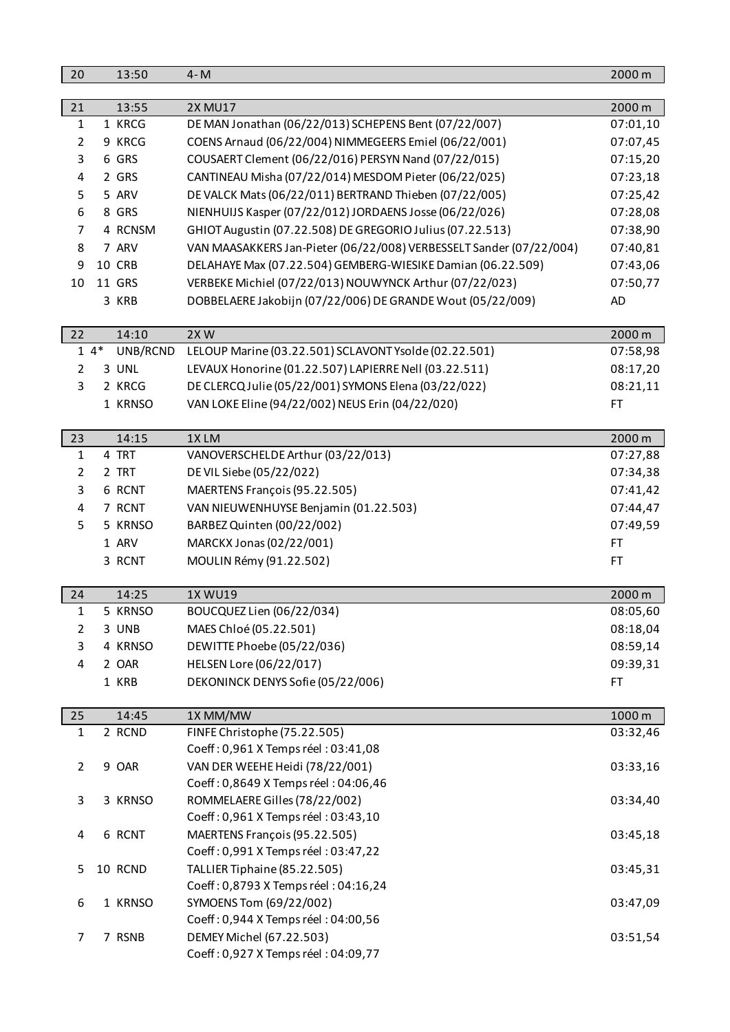| 20             |       | 13:50    | $4 - M$                                                             | 2000 m   |
|----------------|-------|----------|---------------------------------------------------------------------|----------|
|                |       |          |                                                                     |          |
| 21             |       | 13:55    | <b>2X MU17</b>                                                      | 2000 m   |
| $\mathbf{1}$   |       | 1 KRCG   | DE MAN Jonathan (06/22/013) SCHEPENS Bent (07/22/007)               | 07:01,10 |
| $\overline{2}$ |       | 9 KRCG   | COENS Arnaud (06/22/004) NIMMEGEERS Emiel (06/22/001)               | 07:07,45 |
| 3              |       | 6 GRS    | COUSAERT Clement (06/22/016) PERSYN Nand (07/22/015)                | 07:15,20 |
| 4              |       | 2 GRS    | CANTINEAU Misha (07/22/014) MESDOM Pieter (06/22/025)               | 07:23,18 |
| 5              |       | 5 ARV    | DE VALCK Mats (06/22/011) BERTRAND Thieben (07/22/005)              | 07:25,42 |
| 6              |       | 8 GRS    | NIENHUIJS Kasper (07/22/012) JORDAENS Josse (06/22/026)             | 07:28,08 |
| 7              |       | 4 RCNSM  | GHIOT Augustin (07.22.508) DE GREGORIO Julius (07.22.513)           | 07:38,90 |
| 8              |       | 7 ARV    | VAN MAASAKKERS Jan-Pieter (06/22/008) VERBESSELT Sander (07/22/004) | 07:40,81 |
| 9              |       | 10 CRB   | DELAHAYE Max (07.22.504) GEMBERG-WIESIKE Damian (06.22.509)         | 07:43,06 |
| 10             |       | 11 GRS   | VERBEKE Michiel (07/22/013) NOUWYNCK Arthur (07/22/023)             | 07:50,77 |
|                |       | 3 KRB    | DOBBELAERE Jakobijn (07/22/006) DE GRANDE Wout (05/22/009)          | AD       |
|                |       |          |                                                                     |          |
| 22             |       | 14:10    | 2XW                                                                 | 2000 m   |
|                | $14*$ | UNB/RCND | LELOUP Marine (03.22.501) SCLAVONT Ysolde (02.22.501)               | 07:58,98 |
| $\overline{2}$ |       | 3 UNL    | LEVAUX Honorine (01.22.507) LAPIERRE Nell (03.22.511)               | 08:17,20 |
| 3              |       | 2 KRCG   | DE CLERCQ Julie (05/22/001) SYMONS Elena (03/22/022)                | 08:21,11 |
|                |       | 1 KRNSO  | VAN LOKE Eline (94/22/002) NEUS Erin (04/22/020)                    | FT       |
|                |       |          |                                                                     |          |
| 23             |       | 14:15    | 1XLM                                                                | 2000 m   |
| $\mathbf{1}$   |       | 4 TRT    | VANOVERSCHELDE Arthur (03/22/013)                                   | 07:27,88 |
| $\overline{2}$ |       | 2 TRT    | DE VIL Siebe (05/22/022)                                            | 07:34,38 |
| 3              |       | 6 RCNT   | MAERTENS François (95.22.505)                                       | 07:41,42 |
| 4              |       | 7 RCNT   | VAN NIEUWENHUYSE Benjamin (01.22.503)                               | 07:44,47 |
| 5              |       | 5 KRNSO  | BARBEZ Quinten (00/22/002)                                          | 07:49,59 |
|                |       | 1 ARV    | MARCKX Jonas (02/22/001)                                            | FT.      |
|                |       | 3 RCNT   | MOULIN Rémy (91.22.502)                                             | FT.      |
| 24             |       | 14:25    | 1X WU19                                                             | 2000 m   |
| 1              |       | 5 KRNSO  | BOUCQUEZ Lien (06/22/034)                                           | 08:05,60 |
| $\overline{2}$ |       | 3 UNB    | MAES Chloé (05.22.501)                                              | 08:18,04 |
| 3              |       | 4 KRNSO  | DEWITTE Phoebe (05/22/036)                                          | 08:59,14 |
| 4              |       | 2 OAR    | HELSEN Lore (06/22/017)                                             | 09:39,31 |
|                |       | 1 KRB    | DEKONINCK DENYS Sofie (05/22/006)                                   | FT       |
|                |       |          |                                                                     |          |
| 25             |       | 14:45    | 1X MM/MW                                                            | 1000 m   |
| $\mathbf{1}$   |       | 2 RCND   | FINFE Christophe (75.22.505)                                        | 03:32,46 |
|                |       |          | Coeff: 0,961 X Temps réel: 03:41,08                                 |          |
| $\overline{2}$ |       | 9 OAR    | VAN DER WEEHE Heidi (78/22/001)                                     | 03:33,16 |
|                |       |          | Coeff: 0,8649 X Temps réel: 04:06,46                                |          |
| 3              |       | 3 KRNSO  | ROMMELAERE Gilles (78/22/002)                                       | 03:34,40 |
|                |       |          | Coeff: 0,961 X Temps réel: 03:43,10                                 |          |
| 4              |       | 6 RCNT   | MAERTENS François (95.22.505)                                       | 03:45,18 |
|                |       |          | Coeff: 0,991 X Temps réel: 03:47,22                                 |          |
| 5              |       | 10 RCND  | TALLIER Tiphaine (85.22.505)                                        | 03:45,31 |
|                |       |          | Coeff: 0,8793 X Temps réel: 04:16,24                                |          |
| 6              |       | 1 KRNSO  | SYMOENS Tom (69/22/002)                                             | 03:47,09 |
|                |       |          | Coeff: 0,944 X Temps réel: 04:00,56                                 |          |
| $\overline{7}$ |       | 7 RSNB   | DEMEY Michel (67.22.503)                                            | 03:51,54 |
|                |       |          | Coeff: 0,927 X Temps réel: 04:09,77                                 |          |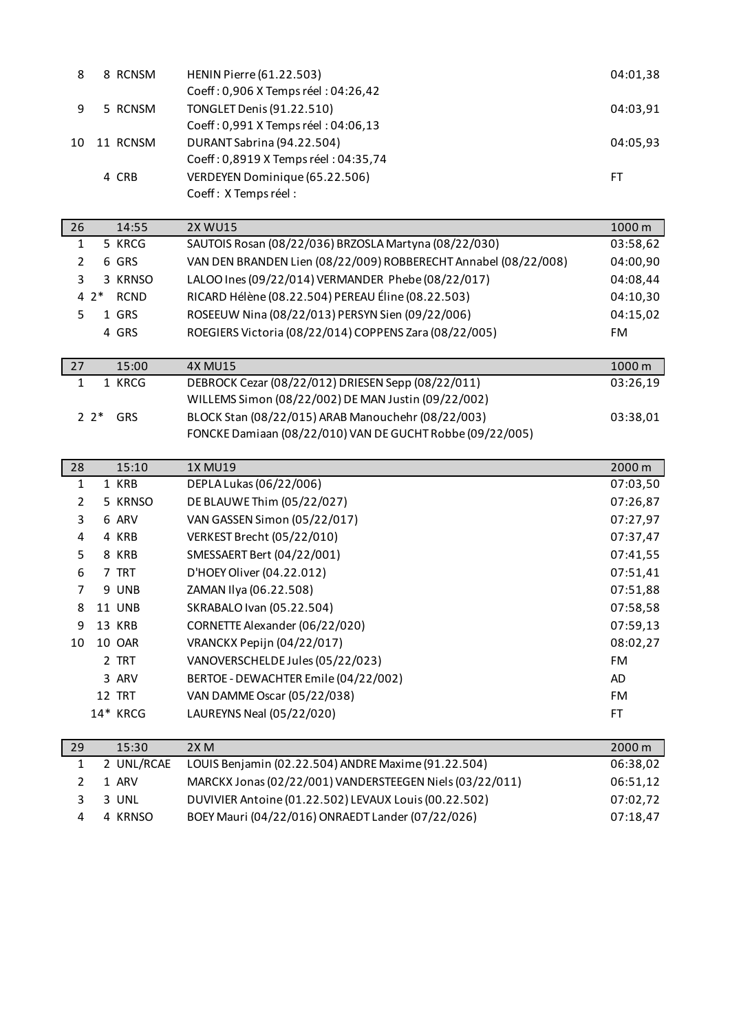| 8              |          | 8 RCNSM       | <b>HENIN Pierre (61.22.503)</b>                                 | 04:01,38  |
|----------------|----------|---------------|-----------------------------------------------------------------|-----------|
|                |          |               | Coeff: 0,906 X Temps réel: 04:26,42                             |           |
| 9              |          | 5 RCNSM       | TONGLET Denis (91.22.510)                                       | 04:03,91  |
|                |          |               | Coeff: 0,991 X Temps réel: 04:06,13                             |           |
| 10             |          | 11 RCNSM      | DURANT Sabrina (94.22.504)                                      | 04:05,93  |
|                |          |               | Coeff: 0,8919 X Temps réel: 04:35,74                            |           |
|                |          | 4 CRB         | VERDEYEN Dominique (65.22.506)                                  | FT        |
|                |          |               | Coeff: X Temps réel:                                            |           |
| 26             |          | 14:55         | <b>2X WU15</b>                                                  | 1000 m    |
| $\mathbf{1}$   |          | 5 KRCG        | SAUTOIS Rosan (08/22/036) BRZOSLA Martyna (08/22/030)           | 03:58,62  |
| $\overline{2}$ |          | 6 GRS         | VAN DEN BRANDEN Lien (08/22/009) ROBBERECHT Annabel (08/22/008) | 04:00,90  |
| 3              |          | 3 KRNSO       | LALOO Ines (09/22/014) VERMANDER Phebe (08/22/017)              | 04:08,44  |
|                | $4^{2*}$ | <b>RCND</b>   | RICARD Hélène (08.22.504) PEREAU Éline (08.22.503)              | 04:10,30  |
| 5              |          | 1 GRS         | ROSEEUW Nina (08/22/013) PERSYN Sien (09/22/006)                | 04:15,02  |
|                |          | 4 GRS         | ROEGIERS Victoria (08/22/014) COPPENS Zara (08/22/005)          | <b>FM</b> |
|                |          |               |                                                                 |           |
| 27             |          | 15:00         | <b>4X MU15</b>                                                  | 1000 m    |
| $\mathbf{1}$   |          | 1 KRCG        | DEBROCK Cezar (08/22/012) DRIESEN Sepp (08/22/011)              | 03:26,19  |
|                |          |               | WILLEMS Simon (08/22/002) DE MAN Justin (09/22/002)             |           |
|                | $2^*$    | GRS           | BLOCK Stan (08/22/015) ARAB Manouchehr (08/22/003)              | 03:38,01  |
|                |          |               | FONCKE Damiaan (08/22/010) VAN DE GUCHT Robbe (09/22/005)       |           |
|                |          |               |                                                                 |           |
|                |          |               |                                                                 |           |
| 28             |          | 15:10         | <b>1X MU19</b>                                                  | 2000 m    |
| $\mathbf{1}$   |          | 1 KRB         | DEPLA Lukas (06/22/006)                                         | 07:03,50  |
| 2              |          | 5 KRNSO       | DE BLAUWE Thim (05/22/027)                                      | 07:26,87  |
| 3              |          | 6 ARV         | VAN GASSEN Simon (05/22/017)                                    | 07:27,97  |
| 4              |          | 4 KRB         | VERKEST Brecht (05/22/010)                                      | 07:37,47  |
| 5              |          | 8 KRB         | SMESSAERT Bert (04/22/001)                                      | 07:41,55  |
| 6              |          | 7 TRT         | D'HOEY Oliver (04.22.012)                                       | 07:51,41  |
| 7              |          | 9 UNB         | ZAMAN Ilya (06.22.508)                                          | 07:51,88  |
| 8              |          | <b>11 UNB</b> | SKRABALO Ivan (05.22.504)                                       | 07:58,58  |
| 9              |          | 13 KRB        | CORNETTE Alexander (06/22/020)                                  | 07:59,13  |
| 10             |          | 10 OAR        | VRANCKX Pepijn (04/22/017)                                      | 08:02,27  |
|                |          | 2 TRT         | VANOVERSCHELDE Jules (05/22/023)                                | <b>FM</b> |
|                |          | 3 ARV         | BERTOE - DEWACHTER Emile (04/22/002)                            | AD        |
|                |          | 12 TRT        | VAN DAMME Oscar (05/22/038)                                     | <b>FM</b> |
|                |          | 14* KRCG      | LAUREYNS Neal (05/22/020)                                       | FT        |
| 29             |          | 15:30         | 2X M                                                            | 2000 m    |
| 1              |          | 2 UNL/RCAE    | LOUIS Benjamin (02.22.504) ANDRE Maxime (91.22.504)             | 06:38,02  |
| $\overline{2}$ |          | 1 ARV         | MARCKX Jonas (02/22/001) VANDERSTEEGEN Niels (03/22/011)        | 06:51,12  |

4 KRNSO BOEY Mauri (04/22/016) ONRAEDT Lander (07/22/026) 07:18,47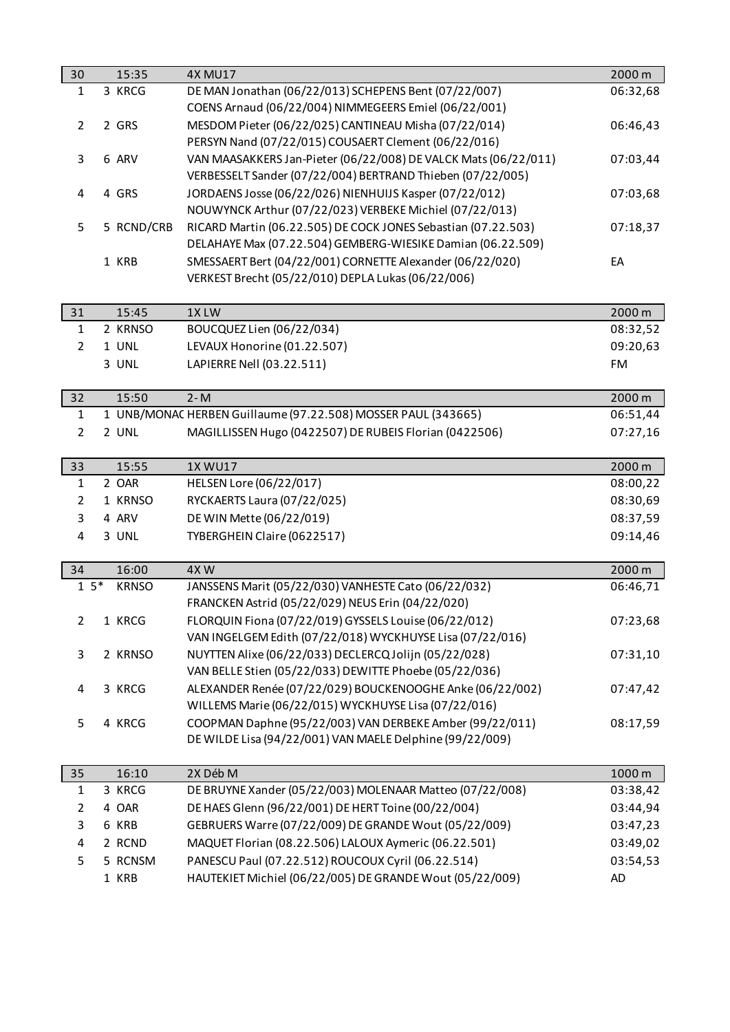| 30             |       | 15:35            | <b>4X MU17</b>                                                                                                       | 2000 m    |
|----------------|-------|------------------|----------------------------------------------------------------------------------------------------------------------|-----------|
| $\mathbf{1}$   |       | 3 KRCG           | DE MAN Jonathan (06/22/013) SCHEPENS Bent (07/22/007)                                                                | 06:32,68  |
|                |       |                  | COENS Arnaud (06/22/004) NIMMEGEERS Emiel (06/22/001)                                                                |           |
| $\overline{2}$ |       | 2 GRS            | MESDOM Pieter (06/22/025) CANTINEAU Misha (07/22/014)                                                                | 06:46,43  |
|                |       |                  | PERSYN Nand (07/22/015) COUSAERT Clement (06/22/016)                                                                 |           |
| $\mathbf{3}$   |       | 6 ARV            | VAN MAASAKKERS Jan-Pieter (06/22/008) DE VALCK Mats (06/22/011)                                                      | 07:03,44  |
|                |       |                  | VERBESSELT Sander (07/22/004) BERTRAND Thieben (07/22/005)                                                           |           |
| $\overline{4}$ |       | 4 GRS            | JORDAENS Josse (06/22/026) NIENHUIJS Kasper (07/22/012)                                                              | 07:03,68  |
|                |       |                  | NOUWYNCK Arthur (07/22/023) VERBEKE Michiel (07/22/013)                                                              |           |
| 5              |       | 5 RCND/CRB       | RICARD Martin (06.22.505) DE COCK JONES Sebastian (07.22.503)                                                        | 07:18,37  |
|                |       |                  | DELAHAYE Max (07.22.504) GEMBERG-WIESIKE Damian (06.22.509)                                                          |           |
|                |       | 1 KRB            | SMESSAERT Bert (04/22/001) CORNETTE Alexander (06/22/020)                                                            | EA        |
|                |       |                  | VERKEST Brecht (05/22/010) DEPLA Lukas (06/22/006)                                                                   |           |
|                |       |                  |                                                                                                                      |           |
| 31             |       | 15:45<br>2 KRNSO | 1XLW                                                                                                                 | 2000 m    |
| $\mathbf{1}$   |       |                  | BOUCQUEZ Lien (06/22/034)                                                                                            | 08:32,52  |
| $\overline{2}$ |       | 1 UNL            | LEVAUX Honorine (01.22.507)                                                                                          | 09:20,63  |
|                |       | 3 UNL            | LAPIERRE Nell (03.22.511)                                                                                            | <b>FM</b> |
| 32             |       | 15:50            | $2 - M$                                                                                                              | 2000 m    |
| $\mathbf{1}$   |       |                  | 1 UNB/MONAC HERBEN Guillaume (97.22.508) MOSSER PAUL (343665)                                                        | 06:51,44  |
| $\overline{2}$ |       | 2 UNL            | MAGILLISSEN Hugo (0422507) DE RUBEIS Florian (0422506)                                                               | 07:27,16  |
|                |       |                  |                                                                                                                      |           |
| 33             |       | 15:55            | 1X WU17                                                                                                              | 2000 m    |
| $\mathbf{1}$   |       | 2 OAR            | HELSEN Lore (06/22/017)                                                                                              | 08:00,22  |
| $\overline{2}$ |       | 1 KRNSO          | RYCKAERTS Laura (07/22/025)                                                                                          | 08:30,69  |
| 3              |       | 4 ARV            | DE WIN Mette (06/22/019)                                                                                             | 08:37,59  |
| $\overline{4}$ |       | 3 UNL            | TYBERGHEIN Claire (0622517)                                                                                          | 09:14,46  |
|                |       |                  |                                                                                                                      |           |
| 34             |       | 16:00            | 4XW                                                                                                                  | 2000 m    |
|                | $15*$ | <b>KRNSO</b>     | JANSSENS Marit (05/22/030) VANHESTE Cato (06/22/032)                                                                 | 06:46,71  |
|                |       |                  | FRANCKEN Astrid (05/22/029) NEUS Erin (04/22/020)                                                                    |           |
| $\overline{2}$ |       | 1 KRCG           | FLORQUIN Fiona (07/22/019) GYSSELS Louise (06/22/012)                                                                | 07:23,68  |
|                |       |                  | VAN INGELGEM Edith (07/22/018) WYCKHUYSE Lisa (07/22/016)                                                            |           |
| 3              |       | 2 KRNSO          | NUYTTEN Alixe (06/22/033) DECLERCQ Jolijn (05/22/028)                                                                | 07:31,10  |
|                |       |                  | VAN BELLE Stien (05/22/033) DEWITTE Phoebe (05/22/036)                                                               |           |
| 4              |       | 3 KRCG           | ALEXANDER Renée (07/22/029) BOUCKENOOGHE Anke (06/22/002)                                                            | 07:47,42  |
|                |       |                  | WILLEMS Marie (06/22/015) WYCKHUYSE Lisa (07/22/016)                                                                 |           |
| 5              |       | 4 KRCG           | COOPMAN Daphne (95/22/003) VAN DERBEKE Amber (99/22/011)<br>DE WILDE Lisa (94/22/001) VAN MAELE Delphine (99/22/009) | 08:17,59  |
|                |       |                  |                                                                                                                      |           |
| 35             |       | 16:10            | 2X Déb M                                                                                                             | 1000 m    |
| $\mathbf{1}$   |       | 3 KRCG           | DE BRUYNE Xander (05/22/003) MOLENAAR Matteo (07/22/008)                                                             | 03:38,42  |
| $\overline{2}$ |       | 4 OAR            | DE HAES Glenn (96/22/001) DE HERT Toine (00/22/004)                                                                  | 03:44,94  |
| 3              |       | 6 KRB            | GEBRUERS Warre (07/22/009) DE GRANDE Wout (05/22/009)                                                                | 03:47,23  |
| 4              |       | 2 RCND           | MAQUET Florian (08.22.506) LALOUX Aymeric (06.22.501)                                                                | 03:49,02  |
| 5              |       | 5 RCNSM          | PANESCU Paul (07.22.512) ROUCOUX Cyril (06.22.514)                                                                   | 03:54,53  |
|                |       | 1 KRB            | HAUTEKIET Michiel (06/22/005) DE GRANDE Wout (05/22/009)                                                             | AD        |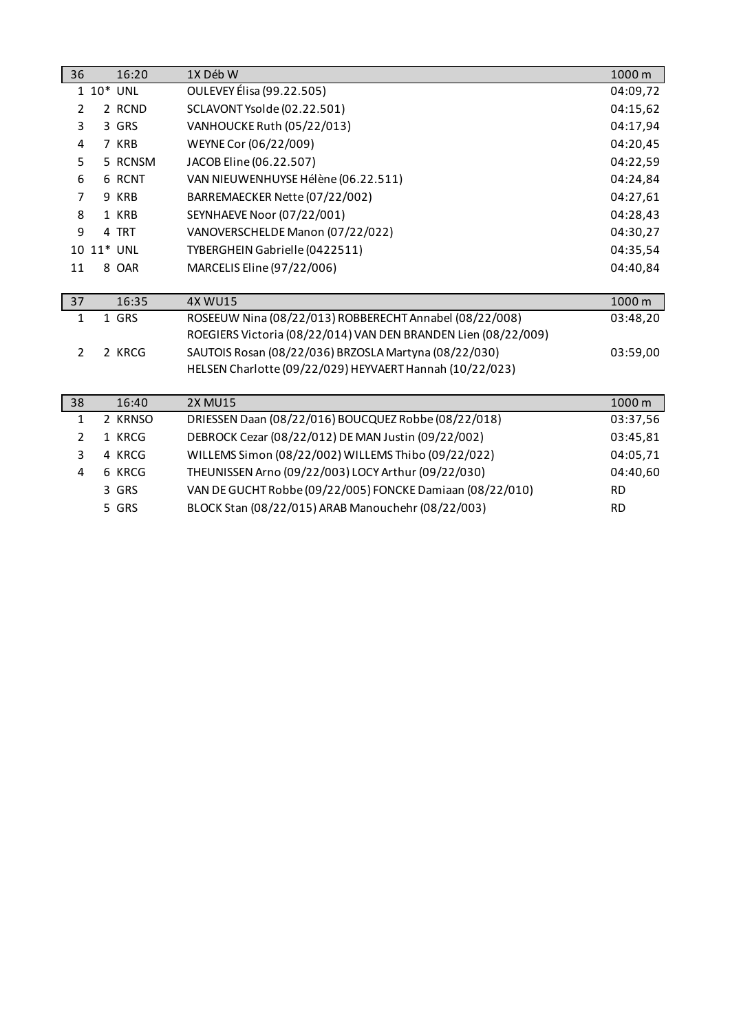| 36             | 16:20       | 1X Déb W                                                       | 1000 m    |
|----------------|-------------|----------------------------------------------------------------|-----------|
|                | $1 10*$ UNL | OULEVEY Élisa (99.22.505)                                      | 04:09,72  |
| $\overline{2}$ | 2 RCND      | SCLAVONT Ysolde (02.22.501)                                    | 04:15,62  |
| 3              | 3 GRS       | VANHOUCKE Ruth (05/22/013)                                     | 04:17,94  |
| 4              | 7 KRB       | WEYNE Cor (06/22/009)                                          | 04:20,45  |
| 5              | 5 RCNSM     | JACOB Eline (06.22.507)                                        | 04:22,59  |
| 6              | 6 RCNT      | VAN NIEUWENHUYSE Hélène (06.22.511)                            | 04:24,84  |
| 7              | 9 KRB       | BARREMAECKER Nette (07/22/002)                                 | 04:27,61  |
| 8              | 1 KRB       | <b>SEYNHAEVE Noor (07/22/001)</b>                              | 04:28,43  |
| 9              | 4 TRT       | VANOVERSCHELDE Manon (07/22/022)                               | 04:30,27  |
|                | 10 11* UNL  | TYBERGHEIN Gabrielle (0422511)                                 | 04:35,54  |
| 11             | 8 OAR       | MARCELIS Eline (97/22/006)                                     | 04:40,84  |
|                |             |                                                                |           |
|                |             |                                                                |           |
| 37             | 16:35       | <b>4X WU15</b>                                                 | 1000 m    |
| 1              | 1 GRS       | ROSEEUW Nina (08/22/013) ROBBERECHT Annabel (08/22/008)        | 03:48,20  |
|                |             | ROEGIERS Victoria (08/22/014) VAN DEN BRANDEN Lien (08/22/009) |           |
| $\overline{2}$ | 2 KRCG      | SAUTOIS Rosan (08/22/036) BRZOSLA Martyna (08/22/030)          | 03:59,00  |
|                |             | HELSEN Charlotte (09/22/029) HEYVAERT Hannah (10/22/023)       |           |
|                |             |                                                                |           |
| 38             | 16:40       | <b>2X MU15</b>                                                 | 1000 m    |
| $\mathbf{1}$   | 2 KRNSO     | DRIESSEN Daan (08/22/016) BOUCQUEZ Robbe (08/22/018)           | 03:37,56  |
| $\overline{2}$ | 1 KRCG      | DEBROCK Cezar (08/22/012) DE MAN Justin (09/22/002)            | 03:45,81  |
| 3              | 4 KRCG      | WILLEMS Simon (08/22/002) WILLEMS Thibo (09/22/022)            | 04:05,71  |
| 4              | 6 KRCG      | THEUNISSEN Arno (09/22/003) LOCY Arthur (09/22/030)            | 04:40,60  |
|                | 3 GRS       | VAN DE GUCHT Robbe (09/22/005) FONCKE Damiaan (08/22/010)      | <b>RD</b> |
|                | 5 GRS       | BLOCK Stan (08/22/015) ARAB Manouchehr (08/22/003)             | <b>RD</b> |